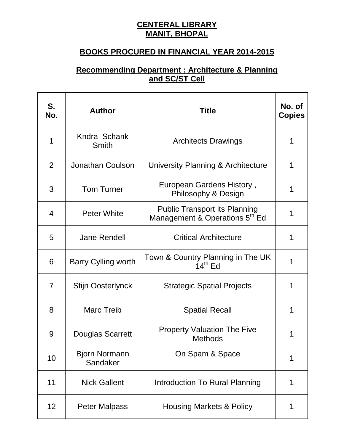## **CENTERAL LIBRARY MANIT, BHOPAL**

## **BOOKS PROCURED IN FINANCIAL YEAR 2014-2015**

## **Recommending Department : Architecture & Planning and SC/ST Cell**

| S.<br>No.      | <b>Author</b>                    | <b>Title</b>                                                                       | No. of<br><b>Copies</b> |
|----------------|----------------------------------|------------------------------------------------------------------------------------|-------------------------|
| 1              | Kndra Schank<br><b>Smith</b>     | <b>Architects Drawings</b>                                                         | 1                       |
| 2              | <b>Jonathan Coulson</b>          | University Planning & Architecture                                                 | 1                       |
| 3              | <b>Tom Turner</b>                | European Gardens History,<br>Philosophy & Design                                   | 1                       |
| $\overline{4}$ | <b>Peter White</b>               | <b>Public Transport its Planning</b><br>Management & Operations 5 <sup>th</sup> Ed | 1                       |
| 5              | <b>Jane Rendell</b>              | <b>Critical Architecture</b>                                                       | 1                       |
| 6              | <b>Barry Cylling worth</b>       | Town & Country Planning in The UK<br>$14th$ Ed                                     | 1                       |
| $\overline{7}$ | <b>Stijn Oosterlynck</b>         | <b>Strategic Spatial Projects</b>                                                  | 1                       |
| 8              | <b>Marc Treib</b>                | <b>Spatial Recall</b>                                                              | 1                       |
| 9              | Douglas Scarrett                 | <b>Property Valuation The Five</b><br><b>Methods</b>                               | 1                       |
| 10             | <b>Bjorn Normann</b><br>Sandaker | On Spam & Space                                                                    | 1                       |
| 11             | <b>Nick Gallent</b>              | Introduction To Rural Planning                                                     | 1                       |
| 12             | <b>Peter Malpass</b>             | <b>Housing Markets &amp; Policy</b>                                                | 1                       |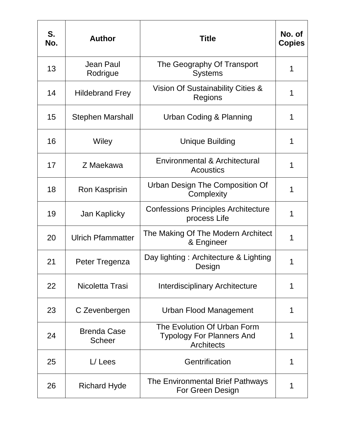| S.<br>No. | <b>Author</b>                       | <b>Title</b>                                                                         | No. of<br><b>Copies</b> |
|-----------|-------------------------------------|--------------------------------------------------------------------------------------|-------------------------|
| 13        | Jean Paul<br>Rodrigue               | The Geography Of Transport<br><b>Systems</b>                                         | 1                       |
| 14        | <b>Hildebrand Frey</b>              | Vision Of Sustainability Cities &<br>Regions                                         |                         |
| 15        | <b>Stephen Marshall</b>             | Urban Coding & Planning                                                              | 1                       |
| 16        | Wiley                               | <b>Unique Building</b>                                                               | 1                       |
| 17        | Z Maekawa                           | Environmental & Architectural<br><b>Acoustics</b>                                    |                         |
| 18        | Ron Kasprisin                       | Urban Design The Composition Of<br>Complexity                                        | 1                       |
| 19        | Jan Kaplicky                        | <b>Confessions Principles Architecture</b><br>process Life                           |                         |
| 20        | <b>Ulrich Pfammatter</b>            | The Making Of The Modern Architect<br>& Engineer                                     | 1                       |
| 21        | Peter Tregenza                      | Day lighting: Architecture & Lighting<br>Design                                      | 1                       |
| 22        | Nicoletta Trasi                     | <b>Interdisciplinary Architecture</b>                                                | 1                       |
| 23        | C Zevenbergen                       | <b>Urban Flood Management</b>                                                        |                         |
| 24        | <b>Brenda Case</b><br><b>Scheer</b> | The Evolution Of Urban Form<br><b>Typology For Planners And</b><br><b>Architects</b> | 1                       |
| 25        | $L/$ Lees                           | Gentrification                                                                       | 1                       |
| 26        | <b>Richard Hyde</b>                 | The Environmental Brief Pathways<br>For Green Design                                 | 1                       |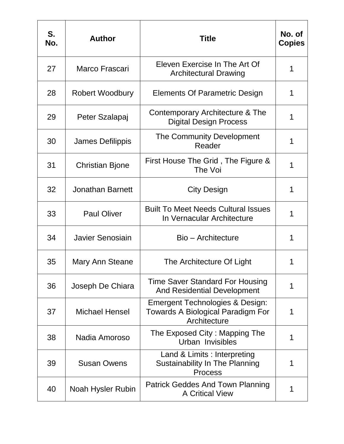| S.<br>No. | <b>Author</b>           | <b>Title</b>                                                                                    | No. of<br><b>Copies</b> |
|-----------|-------------------------|-------------------------------------------------------------------------------------------------|-------------------------|
| 27        | Marco Frascari          | Eleven Exercise In The Art Of<br><b>Architectural Drawing</b>                                   | 1                       |
| 28        | Robert Woodbury         | Elements Of Parametric Design                                                                   | 1                       |
| 29        | Peter Szalapaj          | Contemporary Architecture & The<br><b>Digital Design Process</b>                                | 1                       |
| 30        | <b>James Defilippis</b> | The Community Development<br>Reader                                                             | 1                       |
| 31        | <b>Christian Bjone</b>  | First House The Grid, The Figure &<br>The Voi                                                   |                         |
| 32        | <b>Jonathan Barnett</b> | <b>City Design</b>                                                                              | 1                       |
| 33        | <b>Paul Oliver</b>      | <b>Built To Meet Needs Cultural Issues</b><br>In Vernacular Architecture                        |                         |
| 34        | Javier Senosiain        | Bio - Architecture                                                                              |                         |
| 35        | Mary Ann Steane         | The Architecture Of Light                                                                       |                         |
| 36        | Joseph De Chiara        | <b>Time Saver Standard For Housing</b><br><b>And Residential Development</b>                    |                         |
| 37        | <b>Michael Hensel</b>   | <b>Emergent Technologies &amp; Design:</b><br>Towards A Biological Paradigm For<br>Architecture | 1                       |
| 38        | Nadia Amoroso           | The Exposed City: Mapping The<br>Urban Invisibles                                               | 1                       |
| 39        | <b>Susan Owens</b>      | Land & Limits: Interpreting<br>Sustainability In The Planning<br><b>Process</b>                 | 1                       |
| 40        | Noah Hysler Rubin       | Patrick Geddes And Town Planning<br><b>A Critical View</b>                                      |                         |